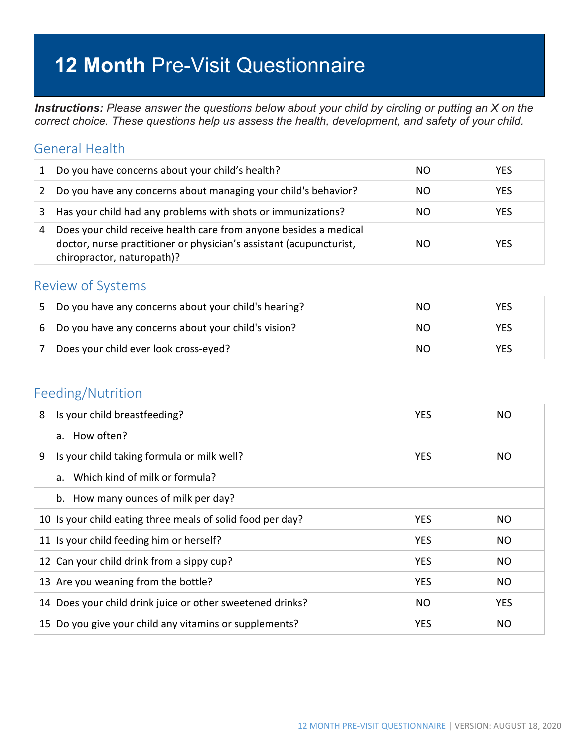# **12 Month** Pre-Visit Questionnaire

*Instructions: Please answer the questions below about your child by circling or putting an X on the correct choice. These questions help us assess the health, development, and safety of your child.*

#### General Health

|   | Do you have concerns about your child's health?                                                                                                                        | NΟ | <b>YFS</b> |
|---|------------------------------------------------------------------------------------------------------------------------------------------------------------------------|----|------------|
|   | Do you have any concerns about managing your child's behavior?                                                                                                         | NΟ | <b>YES</b> |
| 3 | Has your child had any problems with shots or immunizations?                                                                                                           | NΟ | <b>YFS</b> |
| 4 | Does your child receive health care from anyone besides a medical<br>doctor, nurse practitioner or physician's assistant (acupuncturist,<br>chiropractor, naturopath)? | NΟ | <b>YES</b> |

#### Review of Systems

| Do you have any concerns about your child's hearing?  | NO. | <b>YES</b> |
|-------------------------------------------------------|-----|------------|
| 6 Do you have any concerns about your child's vision? | NO. | YES        |
| Does your child ever look cross-eyed?                 | NO. | YES        |

#### Feeding/Nutrition

| 8 | Is your child breastfeeding?                               | <b>YES</b> | ΝO         |
|---|------------------------------------------------------------|------------|------------|
|   | a. How often?                                              |            |            |
| 9 | Is your child taking formula or milk well?                 | <b>YES</b> | NO.        |
|   | a. Which kind of milk or formula?                          |            |            |
|   | b. How many ounces of milk per day?                        |            |            |
|   | 10 Is your child eating three meals of solid food per day? | <b>YES</b> | NO.        |
|   | 11 Is your child feeding him or herself?                   | <b>YES</b> | NO.        |
|   | 12 Can your child drink from a sippy cup?                  | <b>YES</b> | NO.        |
|   | 13 Are you weaning from the bottle?                        | <b>YES</b> | NO.        |
|   | 14 Does your child drink juice or other sweetened drinks?  | NO.        | <b>YES</b> |
|   | 15 Do you give your child any vitamins or supplements?     | <b>YES</b> | NO.        |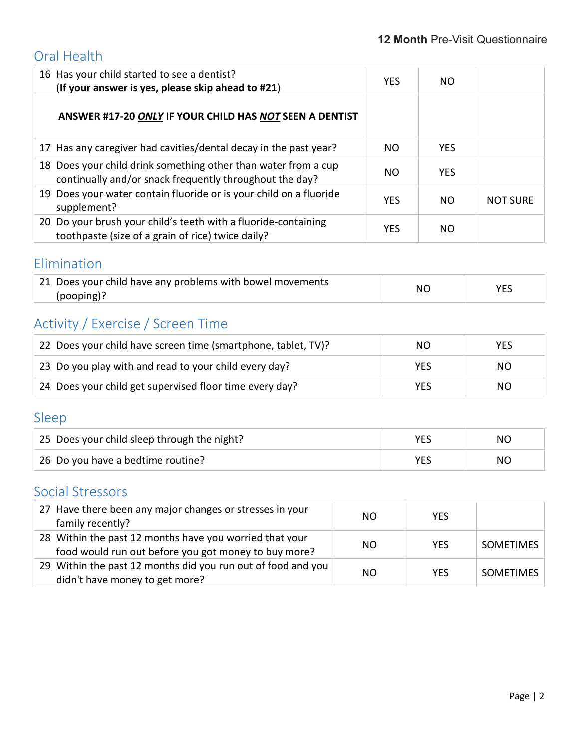#### Oral Health

| 16 Has your child started to see a dentist?<br>(If your answer is yes, please skip ahead to #21)                          | <b>YES</b> | NO.        |                 |
|---------------------------------------------------------------------------------------------------------------------------|------------|------------|-----------------|
| ANSWER #17-20 ONLY IF YOUR CHILD HAS NOT SEEN A DENTIST                                                                   |            |            |                 |
| 17 Has any caregiver had cavities/dental decay in the past year?                                                          | NO.        | <b>YES</b> |                 |
| 18 Does your child drink something other than water from a cup<br>continually and/or snack frequently throughout the day? | NO.        | <b>YES</b> |                 |
| 19 Does your water contain fluoride or is your child on a fluoride<br>supplement?                                         | <b>YES</b> | NO.        | <b>NOT SURE</b> |
| 20 Do your brush your child's teeth with a fluoride-containing<br>toothpaste (size of a grain of rice) twice daily?       | <b>YES</b> | NO.        |                 |

## Elimination

| 21 Does your child have any problems with bowel movements | N0 |  |
|-----------------------------------------------------------|----|--|
| (pooping)?                                                |    |  |

## Activity / Exercise / Screen Time

| 22 Does your child have screen time (smartphone, tablet, TV)? | ΝO         | <b>YES</b> |
|---------------------------------------------------------------|------------|------------|
| 23 Do you play with and read to your child every day?         | <b>YES</b> | NO.        |
| 24 Does your child get supervised floor time every day?       | YES        | NO.        |

## Sleep

| 25 Does your child sleep through the night? | <b>VEC</b> | NO. |
|---------------------------------------------|------------|-----|
| 26 Do you have a bedtime routine?           | YES        | ΝO  |

#### Social Stressors

| 27 Have there been any major changes or stresses in your<br>family recently?                                    | NO.       | <b>YES</b> |                  |
|-----------------------------------------------------------------------------------------------------------------|-----------|------------|------------------|
| 28 Within the past 12 months have you worried that your<br>food would run out before you got money to buy more? | <b>NO</b> | <b>YES</b> | <b>SOMETIMES</b> |
| 29 Within the past 12 months did you run out of food and you<br>didn't have money to get more?                  | NO        | <b>YFS</b> | <b>SOMETIMES</b> |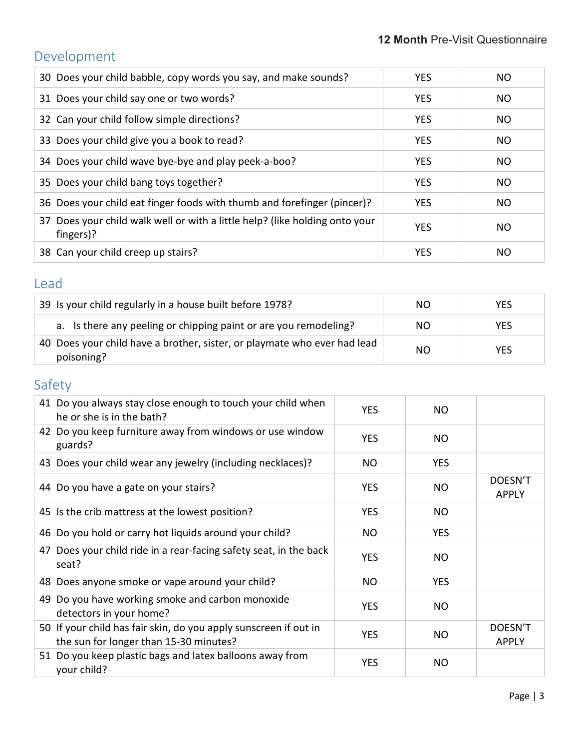# Development

| 30 Does your child babble, copy words you say, and make sounds?                          | <b>YES</b> | N <sub>O</sub> |
|------------------------------------------------------------------------------------------|------------|----------------|
| 31 Does your child say one or two words?                                                 | <b>YES</b> | <b>NO</b>      |
| 32 Can your child follow simple directions?                                              | <b>YES</b> | NO.            |
| 33 Does your child give you a book to read?                                              | <b>YES</b> | NO.            |
| 34 Does your child wave bye-bye and play peek-a-boo?                                     | <b>YES</b> | N <sub>O</sub> |
| 35 Does your child bang toys together?                                                   | <b>YES</b> | N <sub>O</sub> |
| 36 Does your child eat finger foods with thumb and forefinger (pincer)?                  | <b>YES</b> | N <sub>O</sub> |
| 37 Does your child walk well or with a little help? (like holding onto your<br>fingers)? | <b>YES</b> | N <sub>O</sub> |
| 38 Can your child creep up stairs?                                                       | <b>YES</b> | NO.            |

#### Lead

| 39 Is your child regularly in a house built before 1978?                               | NO.       | <b>YES</b> |
|----------------------------------------------------------------------------------------|-----------|------------|
| a. Is there any peeling or chipping paint or are you remodeling?                       | <b>NO</b> | <b>YES</b> |
| 40 Does your child have a brother, sister, or playmate who ever had lead<br>poisoning? | NO.       | <b>YES</b> |

## Safety

| 41 Do you always stay close enough to touch your child when<br>he or she is in the bath?                   | <b>YES</b> | NO.        |                         |
|------------------------------------------------------------------------------------------------------------|------------|------------|-------------------------|
| 42 Do you keep furniture away from windows or use window<br>guards?                                        | <b>YES</b> | <b>NO</b>  |                         |
| 43 Does your child wear any jewelry (including necklaces)?                                                 | NO.        | <b>YES</b> |                         |
| 44 Do you have a gate on your stairs?                                                                      | <b>YES</b> | <b>NO</b>  | DOESN'T<br><b>APPLY</b> |
| 45 Is the crib mattress at the lowest position?                                                            | <b>YES</b> | <b>NO</b>  |                         |
| 46 Do you hold or carry hot liquids around your child?                                                     | NO.        | <b>YES</b> |                         |
| 47 Does your child ride in a rear-facing safety seat, in the back<br>seat?                                 | <b>YES</b> | <b>NO</b>  |                         |
| 48 Does anyone smoke or vape around your child?                                                            | NO.        | <b>YES</b> |                         |
| 49 Do you have working smoke and carbon monoxide<br>detectors in your home?                                | <b>YES</b> | NO.        |                         |
| 50 If your child has fair skin, do you apply sunscreen if out in<br>the sun for longer than 15-30 minutes? | <b>YES</b> | <b>NO</b>  | DOESN'T<br><b>APPLY</b> |
| 51 Do you keep plastic bags and latex balloons away from<br>your child?                                    | <b>YES</b> | NO.        |                         |